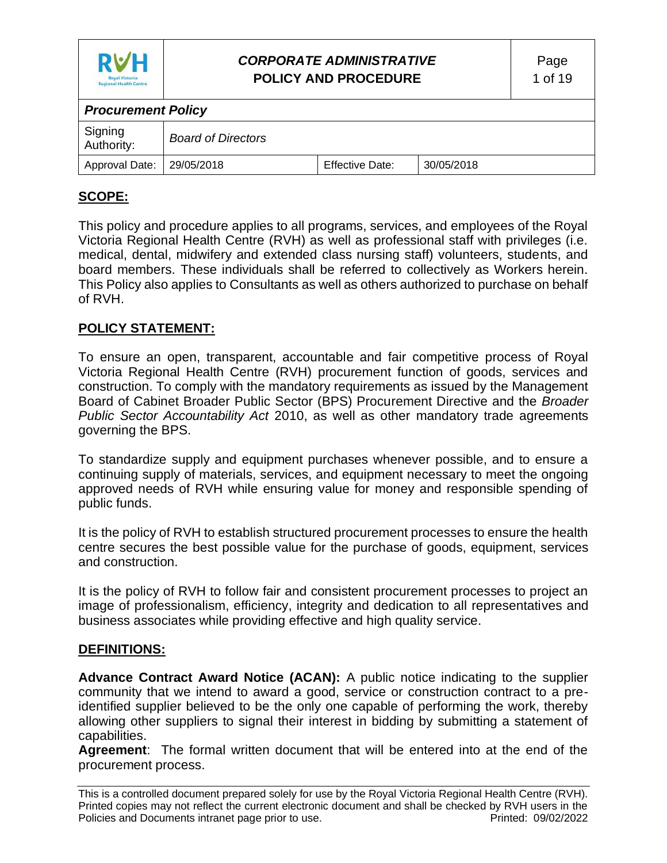

# *CORPORATE ADMINISTRATIVE* **POLICY AND PROCEDURE**

| <b>Procurement Policy</b>   |                           |                        |            |  |  |
|-----------------------------|---------------------------|------------------------|------------|--|--|
| Signing<br>Authority:       | <b>Board of Directors</b> |                        |            |  |  |
| Approval Date:   29/05/2018 |                           | <b>Effective Date:</b> | 30/05/2018 |  |  |

# **SCOPE:**

This policy and procedure applies to all programs, services, and employees of the Royal Victoria Regional Health Centre (RVH) as well as professional staff with privileges (i.e. medical, dental, midwifery and extended class nursing staff) volunteers, students, and board members. These individuals shall be referred to collectively as Workers herein. This Policy also applies to Consultants as well as others authorized to purchase on behalf of RVH.

## **POLICY STATEMENT:**

To ensure an open, transparent, accountable and fair competitive process of Royal Victoria Regional Health Centre (RVH) procurement function of goods, services and construction. To comply with the mandatory requirements as issued by the Management Board of Cabinet Broader Public Sector (BPS) Procurement Directive and the *Broader Public Sector Accountability Act* 2010, as well as other mandatory trade agreements governing the BPS.

To standardize supply and equipment purchases whenever possible, and to ensure a continuing supply of materials, services, and equipment necessary to meet the ongoing approved needs of RVH while ensuring value for money and responsible spending of public funds.

It is the policy of RVH to establish structured procurement processes to ensure the health centre secures the best possible value for the purchase of goods, equipment, services and construction.

It is the policy of RVH to follow fair and consistent procurement processes to project an image of professionalism, efficiency, integrity and dedication to all representatives and business associates while providing effective and high quality service.

### **DEFINITIONS:**

**Advance Contract Award Notice (ACAN):** A public notice indicating to the supplier community that we intend to award a good, service or construction contract to a preidentified supplier believed to be the only one capable of performing the work, thereby allowing other suppliers to signal their interest in bidding by submitting a statement of capabilities.

**Agreement**: The formal written document that will be entered into at the end of the procurement process.

This is a controlled document prepared solely for use by the Royal Victoria Regional Health Centre (RVH). Printed copies may not reflect the current electronic document and shall be checked by RVH users in the Policies and Documents intranet page prior to use. **Printed: 09/02/2022** Printed: 09/02/2022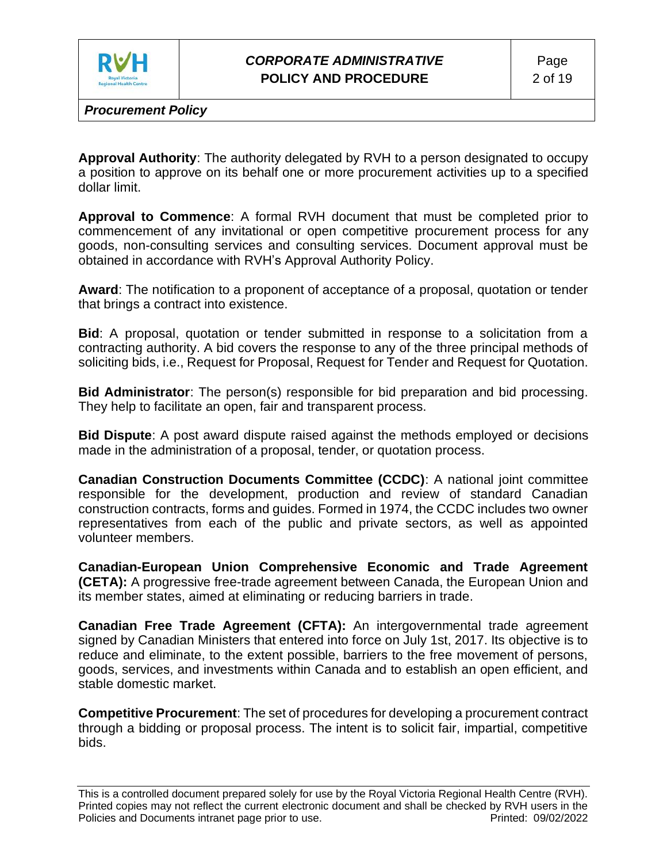

**Approval Authority**: The authority delegated by RVH to a person designated to occupy a position to approve on its behalf one or more procurement activities up to a specified dollar limit.

**Approval to Commence**: A formal RVH document that must be completed prior to commencement of any invitational or open competitive procurement process for any goods, non-consulting services and consulting services. Document approval must be obtained in accordance with RVH's Approval Authority Policy.

**Award**: The notification to a proponent of acceptance of a proposal, quotation or tender that brings a contract into existence.

**Bid**: A proposal, quotation or tender submitted in response to a solicitation from a contracting authority. A bid covers the response to any of the three principal methods of soliciting bids, i.e., Request for Proposal, Request for Tender and Request for Quotation.

**Bid Administrator**: The person(s) responsible for bid preparation and bid processing. They help to facilitate an open, fair and transparent process.

**Bid Dispute**: A post award dispute raised against the methods employed or decisions made in the administration of a proposal, tender, or quotation process.

**Canadian Construction Documents Committee (CCDC)**: A national joint committee responsible for the development, production and review of standard Canadian construction contracts, forms and guides. Formed in 1974, the CCDC includes two owner representatives from each of the public and private sectors, as well as appointed volunteer members.

**Canadian-European Union Comprehensive Economic and Trade Agreement (CETA):** A progressive free-trade agreement between Canada, the European Union and its member states, aimed at eliminating or reducing barriers in trade.

**Canadian Free Trade Agreement (CFTA):** An intergovernmental trade agreement signed by Canadian Ministers that entered into force on July 1st, 2017. Its objective is to reduce and eliminate, to the extent possible, barriers to the free movement of persons, goods, services, and investments within Canada and to establish an open efficient, and stable domestic market.

**Competitive Procurement**: The set of procedures for developing a procurement contract through a bidding or proposal process. The intent is to solicit fair, impartial, competitive bids.

This is a controlled document prepared solely for use by the Royal Victoria Regional Health Centre (RVH). Printed copies may not reflect the current electronic document and shall be checked by RVH users in the Policies and Documents intranet page prior to use. Printed: 09/02/2022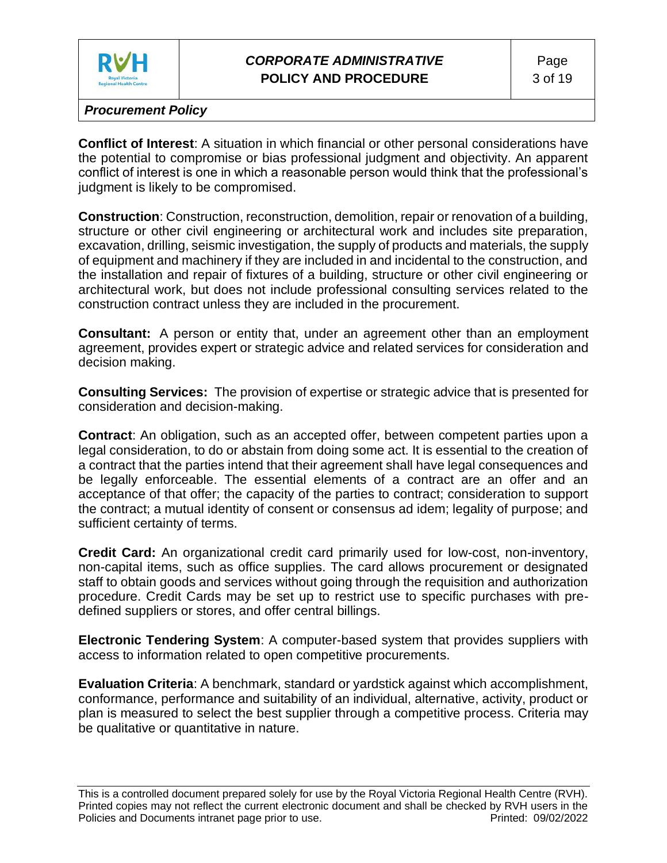

**Conflict of Interest**: A situation in which financial or other personal considerations have the potential to compromise or bias professional judgment and objectivity. An apparent conflict of interest is one in which a reasonable person would think that the professional's judgment is likely to be compromised.

**Construction**: Construction, reconstruction, demolition, repair or renovation of a building, structure or other civil engineering or architectural work and includes site preparation, excavation, drilling, seismic investigation, the supply of products and materials, the supply of equipment and machinery if they are included in and incidental to the construction, and the installation and repair of fixtures of a building, structure or other civil engineering or architectural work, but does not include professional consulting services related to the construction contract unless they are included in the procurement.

**Consultant:** A person or entity that, under an agreement other than an employment agreement, provides expert or strategic advice and related services for consideration and decision making.

**Consulting Services:** The provision of expertise or strategic advice that is presented for consideration and decision-making.

**Contract**: An obligation, such as an accepted offer, between competent parties upon a legal consideration, to do or abstain from doing some act. It is essential to the creation of a contract that the parties intend that their agreement shall have legal consequences and be legally enforceable. The essential elements of a contract are an offer and an acceptance of that offer; the capacity of the parties to contract; consideration to support the contract; a mutual identity of consent or consensus ad idem; legality of purpose; and sufficient certainty of terms.

**Credit Card:** An organizational credit card primarily used for low-cost, non-inventory, non-capital items, such as office supplies. The card allows procurement or designated staff to obtain goods and services without going through the requisition and authorization procedure. Credit Cards may be set up to restrict use to specific purchases with predefined suppliers or stores, and offer central billings.

**Electronic Tendering System**: A computer-based system that provides suppliers with access to information related to open competitive procurements.

**Evaluation Criteria**: A benchmark, standard or yardstick against which accomplishment, conformance, performance and suitability of an individual, alternative, activity, product or plan is measured to select the best supplier through a competitive process. Criteria may be qualitative or quantitative in nature.

This is a controlled document prepared solely for use by the Royal Victoria Regional Health Centre (RVH). Printed copies may not reflect the current electronic document and shall be checked by RVH users in the Policies and Documents intranet page prior to use. **Printed: 09/02/2022** Printed: 09/02/2022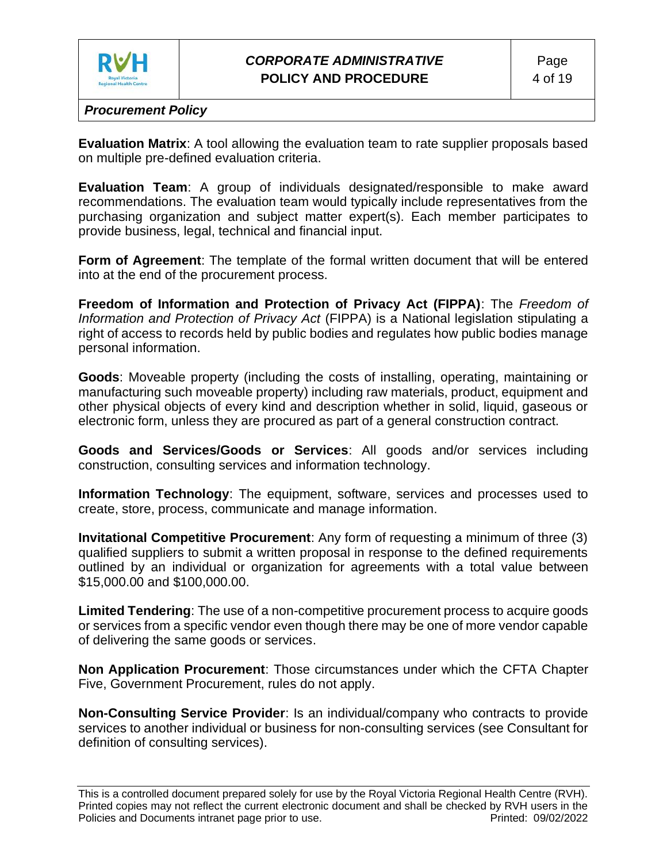

**Evaluation Matrix**: A tool allowing the evaluation team to rate supplier proposals based on multiple pre-defined evaluation criteria.

**Evaluation Team**: A group of individuals designated/responsible to make award recommendations. The evaluation team would typically include representatives from the purchasing organization and subject matter expert(s). Each member participates to provide business, legal, technical and financial input.

**Form of Agreement**: The template of the formal written document that will be entered into at the end of the procurement process.

**Freedom of Information and Protection of Privacy Act (FIPPA)**: The *Freedom of Information and Protection of Privacy Act* (FIPPA) is a National legislation stipulating a right of access to records held by public bodies and regulates how public bodies manage personal information.

**Goods**: Moveable property (including the costs of installing, operating, maintaining or manufacturing such moveable property) including raw materials, product, equipment and other physical objects of every kind and description whether in solid, liquid, gaseous or electronic form, unless they are procured as part of a general construction contract.

**Goods and Services/Goods or Services**: All goods and/or services including construction, consulting services and information technology.

**Information Technology**: The equipment, software, services and processes used to create, store, process, communicate and manage information.

**Invitational Competitive Procurement**: Any form of requesting a minimum of three (3) qualified suppliers to submit a written proposal in response to the defined requirements outlined by an individual or organization for agreements with a total value between \$15,000.00 and \$100,000.00.

**Limited Tendering**: The use of a non-competitive procurement process to acquire goods or services from a specific vendor even though there may be one of more vendor capable of delivering the same goods or services.

**Non Application Procurement**: Those circumstances under which the CFTA Chapter Five, Government Procurement, rules do not apply.

**Non-Consulting Service Provider**: Is an individual/company who contracts to provide services to another individual or business for non-consulting services (see Consultant for definition of consulting services).

This is a controlled document prepared solely for use by the Royal Victoria Regional Health Centre (RVH). Printed copies may not reflect the current electronic document and shall be checked by RVH users in the Policies and Documents intranet page prior to use. Printed: 09/02/2022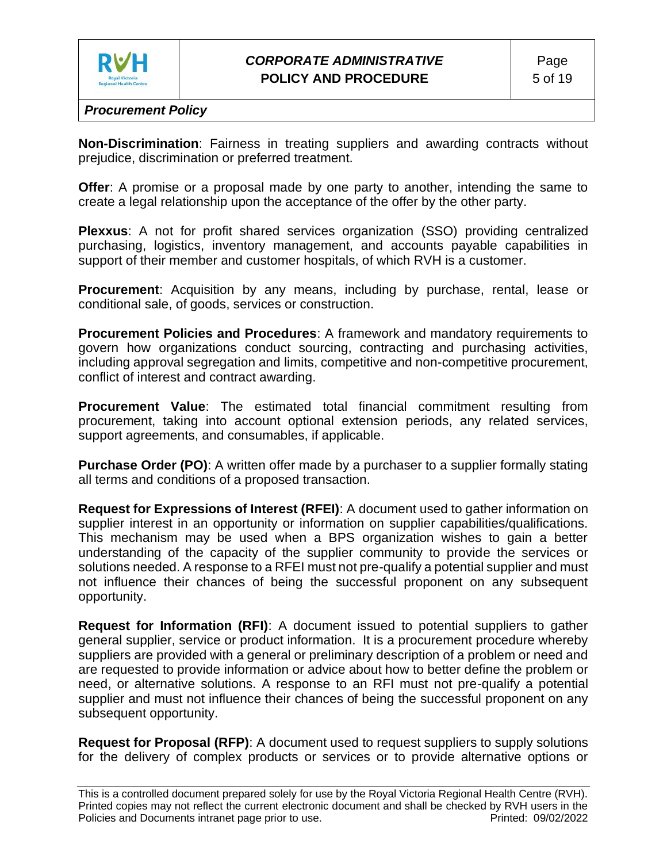

**Non-Discrimination**: Fairness in treating suppliers and awarding contracts without prejudice, discrimination or preferred treatment.

**Offer**: A promise or a proposal made by one party to another, intending the same to create a legal relationship upon the acceptance of the offer by the other party.

**Plexxus**: A not for profit shared services organization (SSO) providing centralized purchasing, logistics, inventory management, and accounts payable capabilities in support of their member and customer hospitals, of which RVH is a customer.

**Procurement**: Acquisition by any means, including by purchase, rental, lease or conditional sale, of goods, services or construction.

**Procurement Policies and Procedures**: A framework and mandatory requirements to govern how organizations conduct sourcing, contracting and purchasing activities, including approval segregation and limits, competitive and non-competitive procurement, conflict of interest and contract awarding.

**Procurement Value**: The estimated total financial commitment resulting from procurement, taking into account optional extension periods, any related services, support agreements, and consumables, if applicable.

**Purchase Order (PO)**: A written offer made by a purchaser to a supplier formally stating all terms and conditions of a proposed transaction.

**Request for Expressions of Interest (RFEI)**: A document used to gather information on supplier interest in an opportunity or information on supplier capabilities/qualifications. This mechanism may be used when a BPS organization wishes to gain a better understanding of the capacity of the supplier community to provide the services or solutions needed. A response to a RFEI must not pre-qualify a potential supplier and must not influence their chances of being the successful proponent on any subsequent opportunity.

**Request for Information (RFI)**: A document issued to potential suppliers to gather general supplier, service or product information. It is a procurement procedure whereby suppliers are provided with a general or preliminary description of a problem or need and are requested to provide information or advice about how to better define the problem or need, or alternative solutions. A response to an RFI must not pre-qualify a potential supplier and must not influence their chances of being the successful proponent on any subsequent opportunity.

**Request for Proposal (RFP)**: A document used to request suppliers to supply solutions for the delivery of complex products or services or to provide alternative options or

This is a controlled document prepared solely for use by the Royal Victoria Regional Health Centre (RVH). Printed copies may not reflect the current electronic document and shall be checked by RVH users in the Policies and Documents intranet page prior to use. Printed: 09/02/2022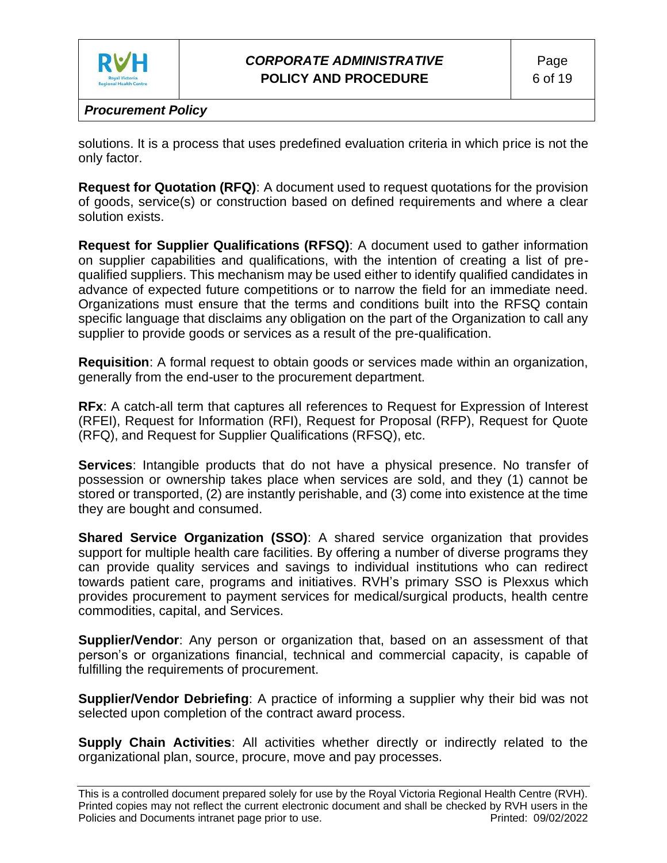

solutions. It is a process that uses predefined evaluation criteria in which price is not the only factor.

**Request for Quotation (RFQ)**: A document used to request quotations for the provision of goods, service(s) or construction based on defined requirements and where a clear solution exists.

**Request for Supplier Qualifications (RFSQ)**: A document used to gather information on supplier capabilities and qualifications, with the intention of creating a list of prequalified suppliers. This mechanism may be used either to identify qualified candidates in advance of expected future competitions or to narrow the field for an immediate need. Organizations must ensure that the terms and conditions built into the RFSQ contain specific language that disclaims any obligation on the part of the Organization to call any supplier to provide goods or services as a result of the pre-qualification.

**Requisition**: A formal request to obtain goods or services made within an organization, generally from the end-user to the procurement department.

**RFx**: A catch-all term that captures all references to Request for Expression of Interest (RFEI), Request for Information (RFI), Request for Proposal (RFP), Request for Quote (RFQ), and Request for Supplier Qualifications (RFSQ), etc.

**Services**: Intangible products that do not have a physical presence. No transfer of possession or ownership takes place when services are sold, and they (1) cannot be stored or transported, (2) are instantly perishable, and (3) come into existence at the time they are bought and consumed.

**Shared Service Organization (SSO)**: A shared service organization that provides support for multiple health care facilities. By offering a number of diverse programs they can provide quality services and savings to individual institutions who can redirect towards patient care, programs and initiatives. RVH's primary SSO is Plexxus which provides procurement to payment services for medical/surgical products, health centre commodities, capital, and Services.

**Supplier/Vendor**: Any person or organization that, based on an assessment of that person's or organizations financial, technical and commercial capacity, is capable of fulfilling the requirements of procurement.

**Supplier/Vendor Debriefing**: A practice of informing a supplier why their bid was not selected upon completion of the contract award process.

**Supply Chain Activities:** All activities whether directly or indirectly related to the organizational plan, source, procure, move and pay processes.

This is a controlled document prepared solely for use by the Royal Victoria Regional Health Centre (RVH). Printed copies may not reflect the current electronic document and shall be checked by RVH users in the Policies and Documents intranet page prior to use. Printed: 09/02/2022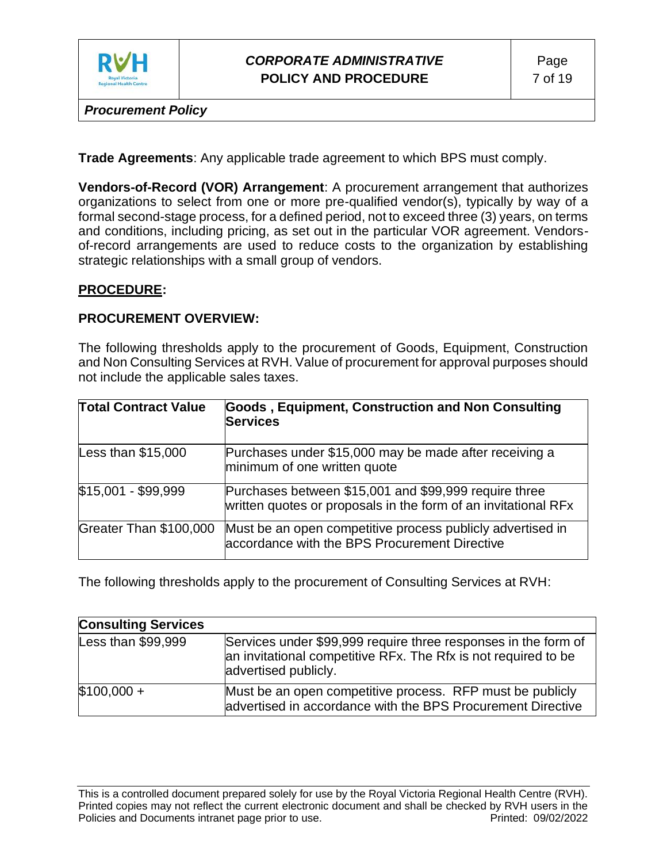

# *CORPORATE ADMINISTRATIVE* **POLICY AND PROCEDURE**

*Procurement Policy*

**Trade Agreements**: Any applicable trade agreement to which BPS must comply.

**Vendors-of-Record (VOR) Arrangement**: A procurement arrangement that authorizes organizations to select from one or more pre-qualified vendor(s), typically by way of a formal second-stage process, for a defined period, not to exceed three (3) years, on terms and conditions, including pricing, as set out in the particular VOR agreement. Vendorsof-record arrangements are used to reduce costs to the organization by establishing strategic relationships with a small group of vendors.

### **PROCEDURE:**

#### **PROCUREMENT OVERVIEW:**

The following thresholds apply to the procurement of Goods, Equipment, Construction and Non Consulting Services at RVH. Value of procurement for approval purposes should not include the applicable sales taxes.

| <b>Total Contract Value</b> | Goods, Equipment, Construction and Non Consulting<br>Services                                                           |
|-----------------------------|-------------------------------------------------------------------------------------------------------------------------|
| Less than $$15,000$         | Purchases under \$15,000 may be made after receiving a<br>minimum of one written quote                                  |
| \$15,001 - \$99,999         | Purchases between \$15,001 and \$99,999 require three<br>written quotes or proposals in the form of an invitational RFx |
| Greater Than \$100,000      | Must be an open competitive process publicly advertised in<br>accordance with the BPS Procurement Directive             |

The following thresholds apply to the procurement of Consulting Services at RVH:

| <b>Consulting Services</b> |                                                                                                                                                          |
|----------------------------|----------------------------------------------------------------------------------------------------------------------------------------------------------|
| Less than $$99,999$        | Services under \$99,999 require three responses in the form of<br>an invitational competitive RFx. The Rfx is not required to be<br>advertised publicly. |
| $$100,000 +$               | Must be an open competitive process. RFP must be publicly<br>advertised in accordance with the BPS Procurement Directive                                 |

This is a controlled document prepared solely for use by the Royal Victoria Regional Health Centre (RVH). Printed copies may not reflect the current electronic document and shall be checked by RVH users in the Policies and Documents intranet page prior to use. **Printed: 09/02/2022** Printed: 09/02/2022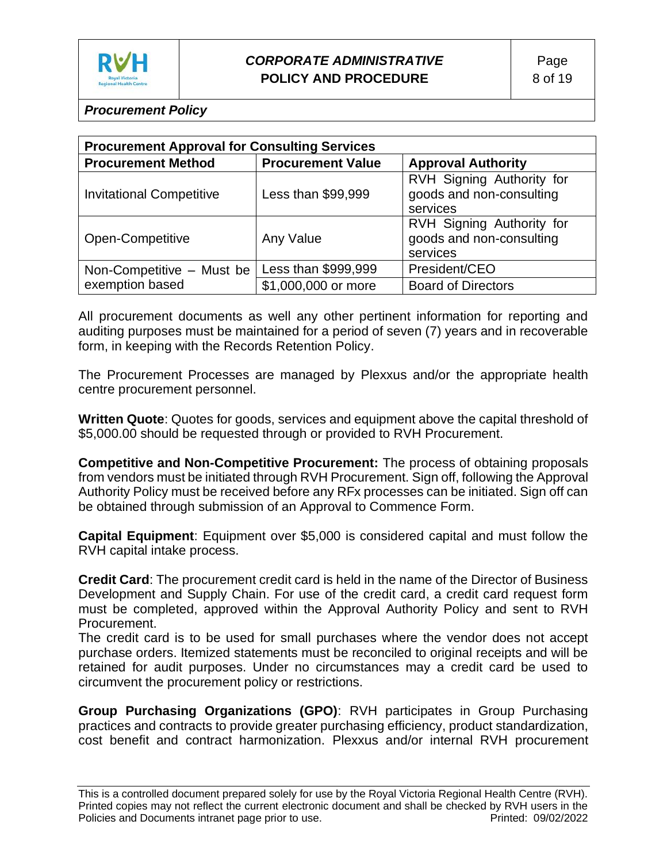

| <b>Procurement Approval for Consulting Services</b> |                                                       |                                                                   |  |  |  |  |
|-----------------------------------------------------|-------------------------------------------------------|-------------------------------------------------------------------|--|--|--|--|
| <b>Procurement Method</b>                           | <b>Procurement Value</b><br><b>Approval Authority</b> |                                                                   |  |  |  |  |
| <b>Invitational Competitive</b>                     | Less than \$99,999                                    | RVH Signing Authority for<br>goods and non-consulting<br>services |  |  |  |  |
| Open-Competitive                                    | Any Value                                             | RVH Signing Authority for<br>goods and non-consulting<br>services |  |  |  |  |
| Non-Competitive - Must be                           | Less than \$999,999                                   | President/CEO                                                     |  |  |  |  |
| exemption based                                     | \$1,000,000 or more                                   | <b>Board of Directors</b>                                         |  |  |  |  |

All procurement documents as well any other pertinent information for reporting and auditing purposes must be maintained for a period of seven (7) years and in recoverable form, in keeping with the Records Retention Policy.

The Procurement Processes are managed by Plexxus and/or the appropriate health centre procurement personnel.

**Written Quote**: Quotes for goods, services and equipment above the capital threshold of \$5,000.00 should be requested through or provided to RVH Procurement.

**Competitive and Non-Competitive Procurement:** The process of obtaining proposals from vendors must be initiated through RVH Procurement. Sign off, following the Approval Authority Policy must be received before any RFx processes can be initiated. Sign off can be obtained through submission of an Approval to Commence Form.

**Capital Equipment**: Equipment over \$5,000 is considered capital and must follow the RVH capital intake process.

**Credit Card**: The procurement credit card is held in the name of the Director of Business Development and Supply Chain. For use of the credit card, a credit card request form must be completed, approved within the Approval Authority Policy and sent to RVH Procurement.

The credit card is to be used for small purchases where the vendor does not accept purchase orders. Itemized statements must be reconciled to original receipts and will be retained for audit purposes. Under no circumstances may a credit card be used to circumvent the procurement policy or restrictions.

**Group Purchasing Organizations (GPO)**: RVH participates in Group Purchasing practices and contracts to provide greater purchasing efficiency, product standardization, cost benefit and contract harmonization. Plexxus and/or internal RVH procurement

This is a controlled document prepared solely for use by the Royal Victoria Regional Health Centre (RVH). Printed copies may not reflect the current electronic document and shall be checked by RVH users in the Policies and Documents intranet page prior to use. **Printed: 09/02/2022** Printed: 09/02/2022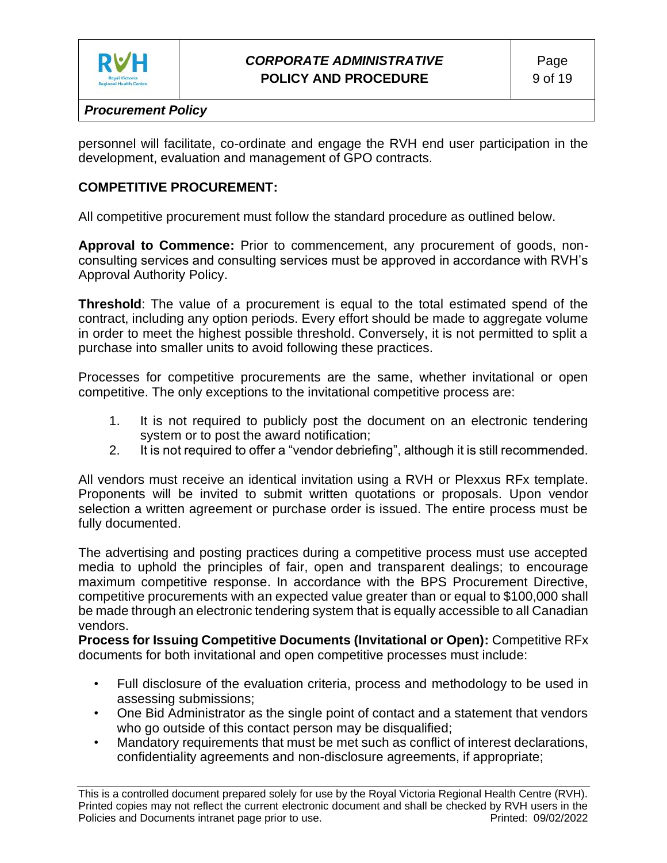

personnel will facilitate, co-ordinate and engage the RVH end user participation in the development, evaluation and management of GPO contracts.

## **COMPETITIVE PROCUREMENT:**

All competitive procurement must follow the standard procedure as outlined below.

**Approval to Commence:** Prior to commencement, any procurement of goods, nonconsulting services and consulting services must be approved in accordance with RVH's Approval Authority Policy.

**Threshold**: The value of a procurement is equal to the total estimated spend of the contract, including any option periods. Every effort should be made to aggregate volume in order to meet the highest possible threshold. Conversely, it is not permitted to split a purchase into smaller units to avoid following these practices.

Processes for competitive procurements are the same, whether invitational or open competitive. The only exceptions to the invitational competitive process are:

- 1. It is not required to publicly post the document on an electronic tendering system or to post the award notification;
- 2. It is not required to offer a "vendor debriefing", although it is still recommended.

All vendors must receive an identical invitation using a RVH or Plexxus RFx template. Proponents will be invited to submit written quotations or proposals. Upon vendor selection a written agreement or purchase order is issued. The entire process must be fully documented.

The advertising and posting practices during a competitive process must use accepted media to uphold the principles of fair, open and transparent dealings; to encourage maximum competitive response. In accordance with the BPS Procurement Directive, competitive procurements with an expected value greater than or equal to \$100,000 shall be made through an electronic tendering system that is equally accessible to all Canadian vendors.

**Process for Issuing Competitive Documents (Invitational or Open):** Competitive RFx documents for both invitational and open competitive processes must include:

- Full disclosure of the evaluation criteria, process and methodology to be used in assessing submissions;
- One Bid Administrator as the single point of contact and a statement that vendors who go outside of this contact person may be disqualified;
- Mandatory requirements that must be met such as conflict of interest declarations, confidentiality agreements and non-disclosure agreements, if appropriate;

This is a controlled document prepared solely for use by the Royal Victoria Regional Health Centre (RVH). Printed copies may not reflect the current electronic document and shall be checked by RVH users in the Policies and Documents intranet page prior to use. Printed: 09/02/2022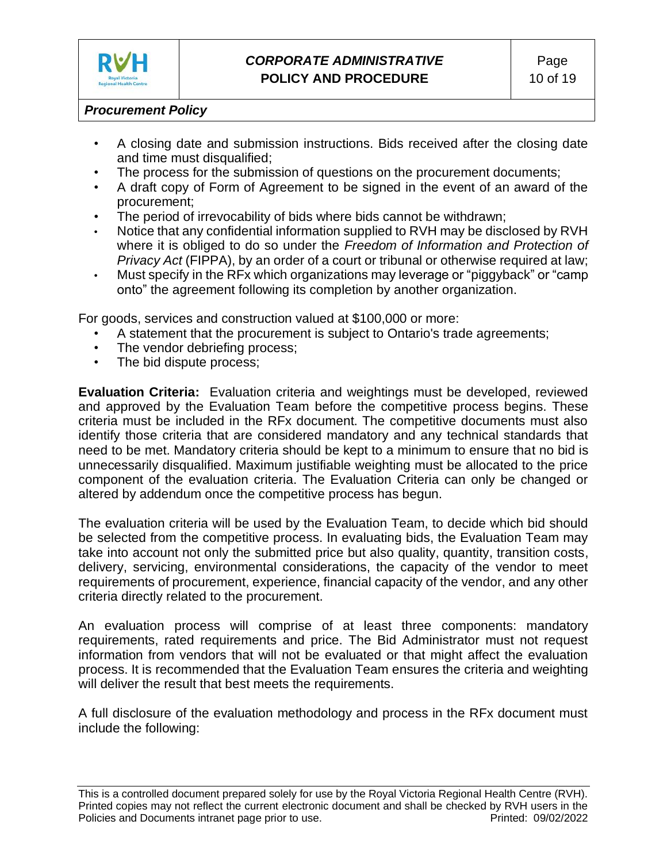

- A closing date and submission instructions. Bids received after the closing date and time must disqualified;
- The process for the submission of questions on the procurement documents;
- A draft copy of Form of Agreement to be signed in the event of an award of the procurement;
- The period of irrevocability of bids where bids cannot be withdrawn;
- Notice that any confidential information supplied to RVH may be disclosed by RVH where it is obliged to do so under the *Freedom of Information and Protection of Privacy Act* (FIPPA), by an order of a court or tribunal or otherwise required at law;
- Must specify in the RFx which organizations may leverage or "piggyback" or "camp onto" the agreement following its completion by another organization.

For goods, services and construction valued at \$100,000 or more:

- A statement that the procurement is subject to Ontario's trade agreements;
- The vendor debriefing process;
- The bid dispute process;

**Evaluation Criteria:** Evaluation criteria and weightings must be developed, reviewed and approved by the Evaluation Team before the competitive process begins. These criteria must be included in the RFx document. The competitive documents must also identify those criteria that are considered mandatory and any technical standards that need to be met. Mandatory criteria should be kept to a minimum to ensure that no bid is unnecessarily disqualified. Maximum justifiable weighting must be allocated to the price component of the evaluation criteria. The Evaluation Criteria can only be changed or altered by addendum once the competitive process has begun.

The evaluation criteria will be used by the Evaluation Team, to decide which bid should be selected from the competitive process. In evaluating bids, the Evaluation Team may take into account not only the submitted price but also quality, quantity, transition costs, delivery, servicing, environmental considerations, the capacity of the vendor to meet requirements of procurement, experience, financial capacity of the vendor, and any other criteria directly related to the procurement.

An evaluation process will comprise of at least three components: mandatory requirements, rated requirements and price. The Bid Administrator must not request information from vendors that will not be evaluated or that might affect the evaluation process. It is recommended that the Evaluation Team ensures the criteria and weighting will deliver the result that best meets the requirements.

A full disclosure of the evaluation methodology and process in the RFx document must include the following:

This is a controlled document prepared solely for use by the Royal Victoria Regional Health Centre (RVH). Printed copies may not reflect the current electronic document and shall be checked by RVH users in the Policies and Documents intranet page prior to use. **Printed: 09/02/2022** Printed: 09/02/2022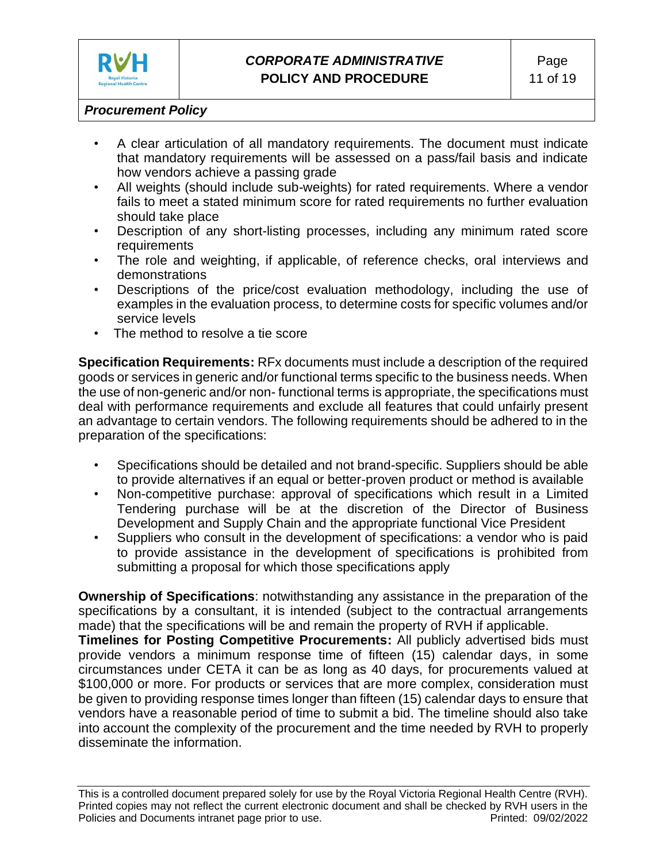

- A clear articulation of all mandatory requirements. The document must indicate that mandatory requirements will be assessed on a pass/fail basis and indicate how vendors achieve a passing grade
- All weights (should include sub-weights) for rated requirements. Where a vendor fails to meet a stated minimum score for rated requirements no further evaluation should take place
- Description of any short-listing processes, including any minimum rated score requirements
- The role and weighting, if applicable, of reference checks, oral interviews and demonstrations
- Descriptions of the price/cost evaluation methodology, including the use of examples in the evaluation process, to determine costs for specific volumes and/or service levels
- The method to resolve a tie score

**Specification Requirements:** RFx documents must include a description of the required goods or services in generic and/or functional terms specific to the business needs. When the use of non-generic and/or non- functional terms is appropriate, the specifications must deal with performance requirements and exclude all features that could unfairly present an advantage to certain vendors. The following requirements should be adhered to in the preparation of the specifications:

- Specifications should be detailed and not brand-specific. Suppliers should be able to provide alternatives if an equal or better-proven product or method is available
- Non-competitive purchase: approval of specifications which result in a Limited Tendering purchase will be at the discretion of the Director of Business Development and Supply Chain and the appropriate functional Vice President
- Suppliers who consult in the development of specifications: a vendor who is paid to provide assistance in the development of specifications is prohibited from submitting a proposal for which those specifications apply

**Ownership of Specifications**: notwithstanding any assistance in the preparation of the specifications by a consultant, it is intended (subject to the contractual arrangements made) that the specifications will be and remain the property of RVH if applicable.

**Timelines for Posting Competitive Procurements:** All publicly advertised bids must provide vendors a minimum response time of fifteen (15) calendar days, in some circumstances under CETA it can be as long as 40 days, for procurements valued at \$100,000 or more. For products or services that are more complex, consideration must be given to providing response times longer than fifteen (15) calendar days to ensure that vendors have a reasonable period of time to submit a bid. The timeline should also take into account the complexity of the procurement and the time needed by RVH to properly disseminate the information.

This is a controlled document prepared solely for use by the Royal Victoria Regional Health Centre (RVH). Printed copies may not reflect the current electronic document and shall be checked by RVH users in the Policies and Documents intranet page prior to use. Printed: 09/02/2022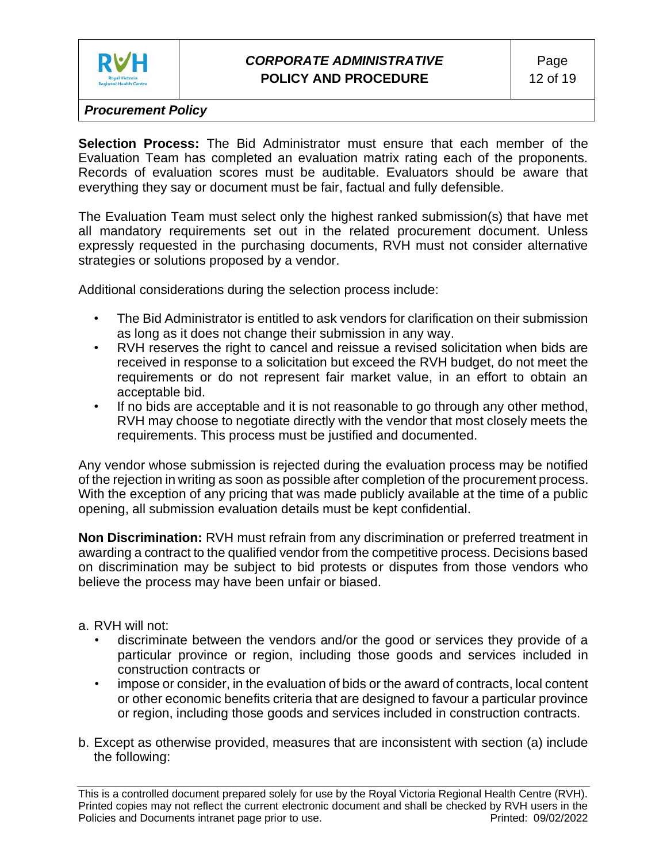

**Selection Process:** The Bid Administrator must ensure that each member of the Evaluation Team has completed an evaluation matrix rating each of the proponents. Records of evaluation scores must be auditable. Evaluators should be aware that everything they say or document must be fair, factual and fully defensible.

The Evaluation Team must select only the highest ranked submission(s) that have met all mandatory requirements set out in the related procurement document. Unless expressly requested in the purchasing documents, RVH must not consider alternative strategies or solutions proposed by a vendor.

Additional considerations during the selection process include:

- The Bid Administrator is entitled to ask vendors for clarification on their submission as long as it does not change their submission in any way.
- RVH reserves the right to cancel and reissue a revised solicitation when bids are received in response to a solicitation but exceed the RVH budget, do not meet the requirements or do not represent fair market value, in an effort to obtain an acceptable bid.
- If no bids are acceptable and it is not reasonable to go through any other method, RVH may choose to negotiate directly with the vendor that most closely meets the requirements. This process must be justified and documented.

Any vendor whose submission is rejected during the evaluation process may be notified of the rejection in writing as soon as possible after completion of the procurement process. With the exception of any pricing that was made publicly available at the time of a public opening, all submission evaluation details must be kept confidential.

**Non Discrimination:** RVH must refrain from any discrimination or preferred treatment in awarding a contract to the qualified vendor from the competitive process. Decisions based on discrimination may be subject to bid protests or disputes from those vendors who believe the process may have been unfair or biased.

#### a. RVH will not:

- discriminate between the vendors and/or the good or services they provide of a particular province or region, including those goods and services included in construction contracts or
- impose or consider, in the evaluation of bids or the award of contracts, local content or other economic benefits criteria that are designed to favour a particular province or region, including those goods and services included in construction contracts.
- b. Except as otherwise provided, measures that are inconsistent with section (a) include the following:

This is a controlled document prepared solely for use by the Royal Victoria Regional Health Centre (RVH). Printed copies may not reflect the current electronic document and shall be checked by RVH users in the Policies and Documents intranet page prior to use. Printed: 09/02/2022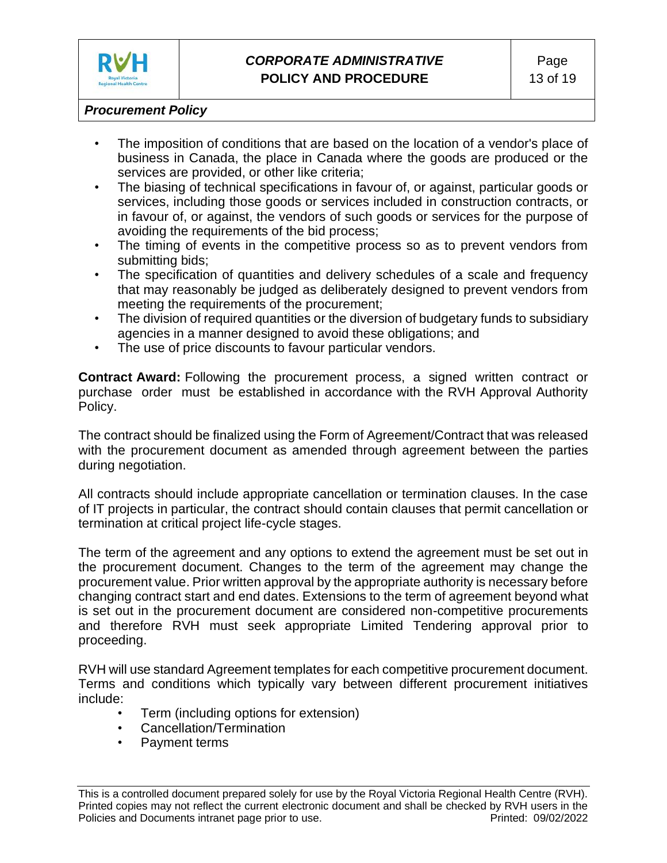

- The imposition of conditions that are based on the location of a vendor's place of business in Canada, the place in Canada where the goods are produced or the services are provided, or other like criteria;
- The biasing of technical specifications in favour of, or against, particular goods or services, including those goods or services included in construction contracts, or in favour of, or against, the vendors of such goods or services for the purpose of avoiding the requirements of the bid process;
- The timing of events in the competitive process so as to prevent vendors from submitting bids;
- The specification of quantities and delivery schedules of a scale and frequency that may reasonably be judged as deliberately designed to prevent vendors from meeting the requirements of the procurement;
- The division of required quantities or the diversion of budgetary funds to subsidiary agencies in a manner designed to avoid these obligations; and
- The use of price discounts to favour particular vendors.

**Contract Award:** Following the procurement process, a signed written contract or purchase order must be established in accordance with the RVH Approval Authority Policy.

The contract should be finalized using the Form of Agreement/Contract that was released with the procurement document as amended through agreement between the parties during negotiation.

All contracts should include appropriate cancellation or termination clauses. In the case of IT projects in particular, the contract should contain clauses that permit cancellation or termination at critical project life-cycle stages.

The term of the agreement and any options to extend the agreement must be set out in the procurement document. Changes to the term of the agreement may change the procurement value. Prior written approval by the appropriate authority is necessary before changing contract start and end dates. Extensions to the term of agreement beyond what is set out in the procurement document are considered non-competitive procurements and therefore RVH must seek appropriate Limited Tendering approval prior to proceeding.

RVH will use standard Agreement templates for each competitive procurement document. Terms and conditions which typically vary between different procurement initiatives include:

- Term (including options for extension)
- Cancellation/Termination
- Payment terms

This is a controlled document prepared solely for use by the Royal Victoria Regional Health Centre (RVH). Printed copies may not reflect the current electronic document and shall be checked by RVH users in the Policies and Documents intranet page prior to use. Printed: 09/02/2022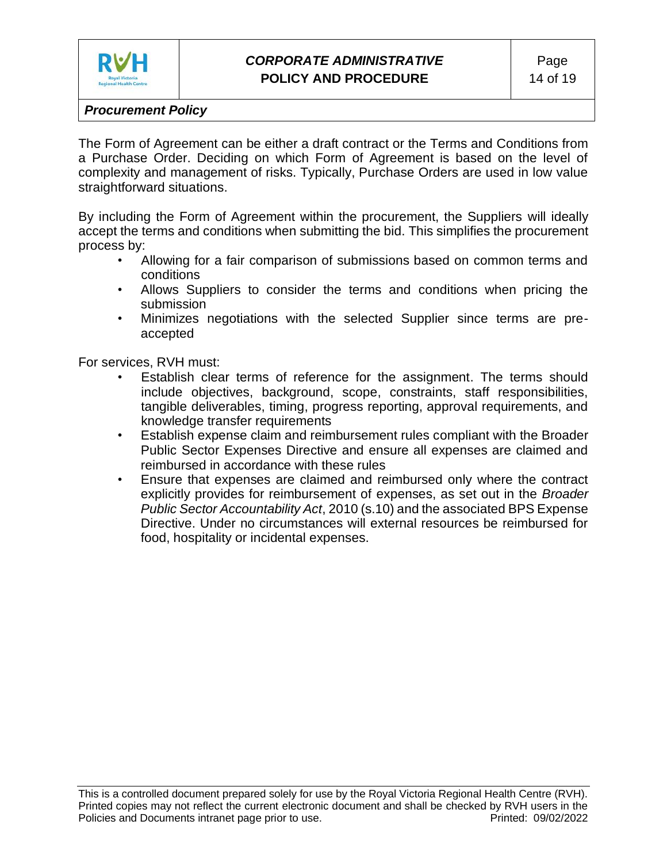

The Form of Agreement can be either a draft contract or the Terms and Conditions from a Purchase Order. Deciding on which Form of Agreement is based on the level of complexity and management of risks. Typically, Purchase Orders are used in low value straightforward situations.

By including the Form of Agreement within the procurement, the Suppliers will ideally accept the terms and conditions when submitting the bid. This simplifies the procurement process by:

- Allowing for a fair comparison of submissions based on common terms and conditions
- Allows Suppliers to consider the terms and conditions when pricing the submission
- Minimizes negotiations with the selected Supplier since terms are preaccepted

For services, RVH must:

- Establish clear terms of reference for the assignment. The terms should include objectives, background, scope, constraints, staff responsibilities, tangible deliverables, timing, progress reporting, approval requirements, and knowledge transfer requirements
- Establish expense claim and reimbursement rules compliant with the Broader Public Sector Expenses Directive and ensure all expenses are claimed and reimbursed in accordance with these rules
- Ensure that expenses are claimed and reimbursed only where the contract explicitly provides for reimbursement of expenses, as set out in the *Broader Public Sector Accountability Act*, 2010 (s.10) and the associated BPS Expense Directive. Under no circumstances will external resources be reimbursed for food, hospitality or incidental expenses.

This is a controlled document prepared solely for use by the Royal Victoria Regional Health Centre (RVH). Printed copies may not reflect the current electronic document and shall be checked by RVH users in the Policies and Documents intranet page prior to use. Printed: 09/02/2022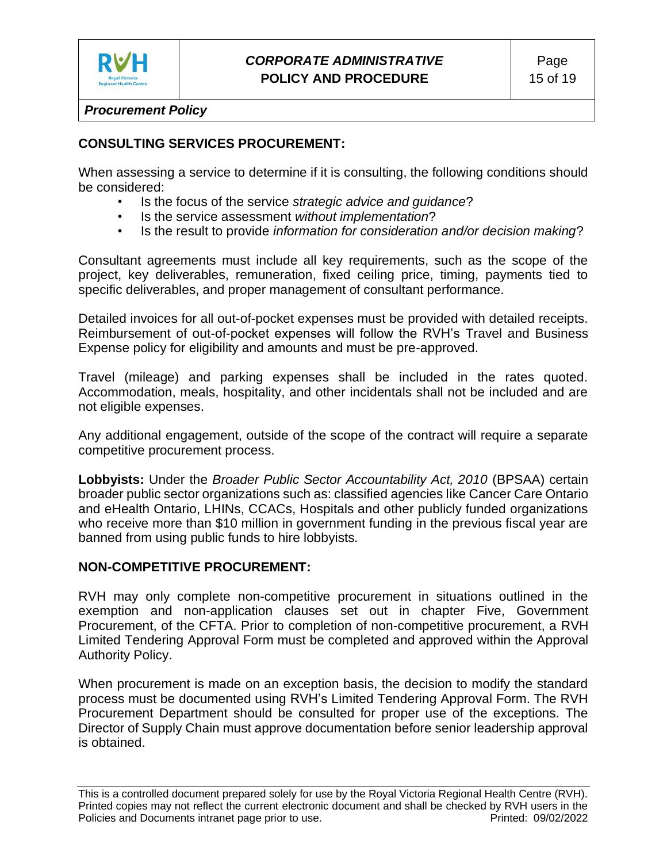

# **CONSULTING SERVICES PROCUREMENT:**

When assessing a service to determine if it is consulting, the following conditions should be considered:

- Is the focus of the service *strategic advice and guidance*?
- Is the service assessment *without implementation*?
- Is the result to provide *information for consideration and/or decision making*?

Consultant agreements must include all key requirements, such as the scope of the project, key deliverables, remuneration, fixed ceiling price, timing, payments tied to specific deliverables, and proper management of consultant performance.

Detailed invoices for all out-of-pocket expenses must be provided with detailed receipts. Reimbursement of out-of-pocket expenses will follow the RVH's Travel and Business Expense policy for eligibility and amounts and must be pre-approved.

Travel (mileage) and parking expenses shall be included in the rates quoted. Accommodation, meals, hospitality, and other incidentals shall not be included and are not eligible expenses.

Any additional engagement, outside of the scope of the contract will require a separate competitive procurement process.

**Lobbyists:** Under the *Broader Public Sector Accountability Act, 2010* (BPSAA) certain broader public sector organizations such as: classified agencies like Cancer Care Ontario and eHealth Ontario, LHINs, CCACs, Hospitals and other publicly funded organizations who receive more than \$10 million in government funding in the previous fiscal year are banned from using public funds to hire lobbyists.

### **NON-COMPETITIVE PROCUREMENT:**

RVH may only complete non-competitive procurement in situations outlined in the exemption and non-application clauses set out in chapter Five, Government Procurement, of the CFTA. Prior to completion of non-competitive procurement, a RVH Limited Tendering Approval Form must be completed and approved within the Approval Authority Policy.

When procurement is made on an exception basis, the decision to modify the standard process must be documented using RVH's Limited Tendering Approval Form. The RVH Procurement Department should be consulted for proper use of the exceptions. The Director of Supply Chain must approve documentation before senior leadership approval is obtained.

This is a controlled document prepared solely for use by the Royal Victoria Regional Health Centre (RVH). Printed copies may not reflect the current electronic document and shall be checked by RVH users in the Policies and Documents intranet page prior to use. Printed: 09/02/2022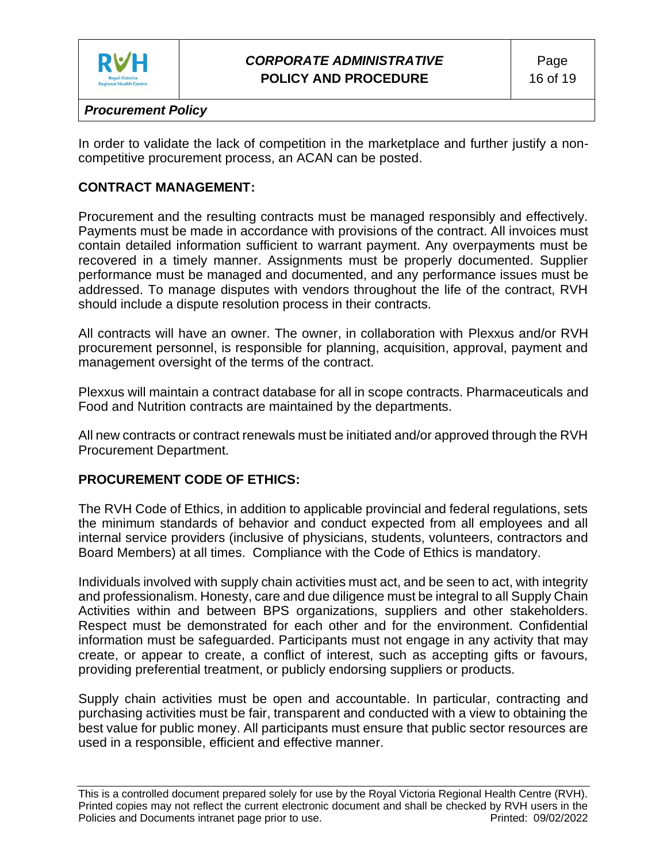

In order to validate the lack of competition in the marketplace and further justify a noncompetitive procurement process, an ACAN can be posted.

### **CONTRACT MANAGEMENT:**

Procurement and the resulting contracts must be managed responsibly and effectively. Payments must be made in accordance with provisions of the contract. All invoices must contain detailed information sufficient to warrant payment. Any overpayments must be recovered in a timely manner. Assignments must be properly documented. Supplier performance must be managed and documented, and any performance issues must be addressed. To manage disputes with vendors throughout the life of the contract, RVH should include a dispute resolution process in their contracts.

All contracts will have an owner. The owner, in collaboration with Plexxus and/or RVH procurement personnel, is responsible for planning, acquisition, approval, payment and management oversight of the terms of the contract.

Plexxus will maintain a contract database for all in scope contracts. Pharmaceuticals and Food and Nutrition contracts are maintained by the departments.

All new contracts or contract renewals must be initiated and/or approved through the RVH Procurement Department.

### **PROCUREMENT CODE OF ETHICS:**

The RVH Code of Ethics, in addition to applicable provincial and federal regulations, sets the minimum standards of behavior and conduct expected from all employees and all internal service providers (inclusive of physicians, students, volunteers, contractors and Board Members) at all times. Compliance with the Code of Ethics is mandatory.

Individuals involved with supply chain activities must act, and be seen to act, with integrity and professionalism. Honesty, care and due diligence must be integral to all Supply Chain Activities within and between BPS organizations, suppliers and other stakeholders. Respect must be demonstrated for each other and for the environment. Confidential information must be safeguarded. Participants must not engage in any activity that may create, or appear to create, a conflict of interest, such as accepting gifts or favours, providing preferential treatment, or publicly endorsing suppliers or products.

Supply chain activities must be open and accountable. In particular, contracting and purchasing activities must be fair, transparent and conducted with a view to obtaining the best value for public money. All participants must ensure that public sector resources are used in a responsible, efficient and effective manner.

This is a controlled document prepared solely for use by the Royal Victoria Regional Health Centre (RVH). Printed copies may not reflect the current electronic document and shall be checked by RVH users in the Policies and Documents intranet page prior to use. Printed: 09/02/2022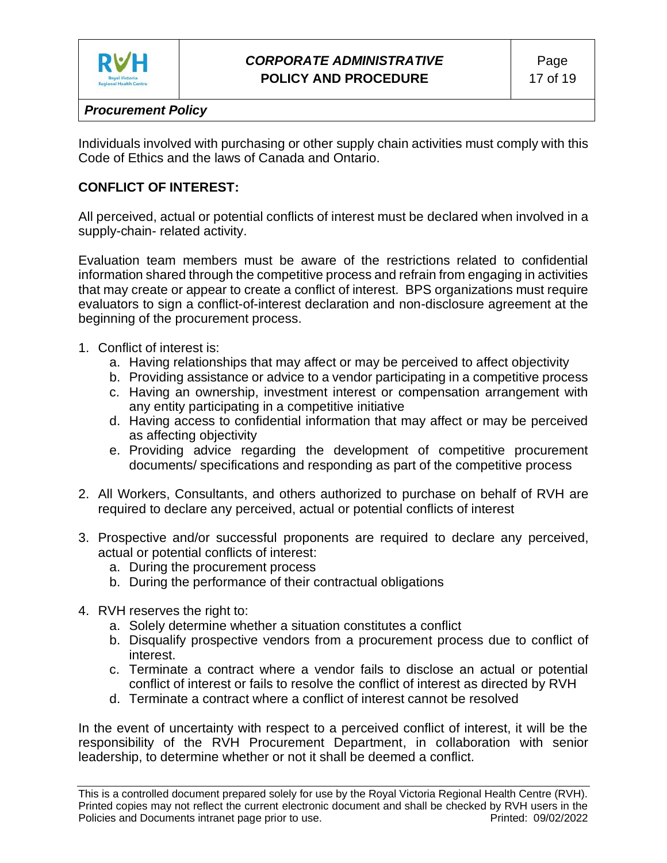

Individuals involved with purchasing or other supply chain activities must comply with this Code of Ethics and the laws of Canada and Ontario.

## **CONFLICT OF INTEREST:**

All perceived, actual or potential conflicts of interest must be declared when involved in a supply-chain- related activity.

Evaluation team members must be aware of the restrictions related to confidential information shared through the competitive process and refrain from engaging in activities that may create or appear to create a conflict of interest. BPS organizations must require evaluators to sign a conflict-of-interest declaration and non-disclosure agreement at the beginning of the procurement process.

- 1. Conflict of interest is:
	- a. Having relationships that may affect or may be perceived to affect objectivity
	- b. Providing assistance or advice to a vendor participating in a competitive process
	- c. Having an ownership, investment interest or compensation arrangement with any entity participating in a competitive initiative
	- d. Having access to confidential information that may affect or may be perceived as affecting objectivity
	- e. Providing advice regarding the development of competitive procurement documents/ specifications and responding as part of the competitive process
- 2. All Workers, Consultants, and others authorized to purchase on behalf of RVH are required to declare any perceived, actual or potential conflicts of interest
- 3. Prospective and/or successful proponents are required to declare any perceived, actual or potential conflicts of interest:
	- a. During the procurement process
	- b. During the performance of their contractual obligations
- 4. RVH reserves the right to:
	- a. Solely determine whether a situation constitutes a conflict
	- b. Disqualify prospective vendors from a procurement process due to conflict of interest.
	- c. Terminate a contract where a vendor fails to disclose an actual or potential conflict of interest or fails to resolve the conflict of interest as directed by RVH
	- d. Terminate a contract where a conflict of interest cannot be resolved

In the event of uncertainty with respect to a perceived conflict of interest, it will be the responsibility of the RVH Procurement Department, in collaboration with senior leadership, to determine whether or not it shall be deemed a conflict.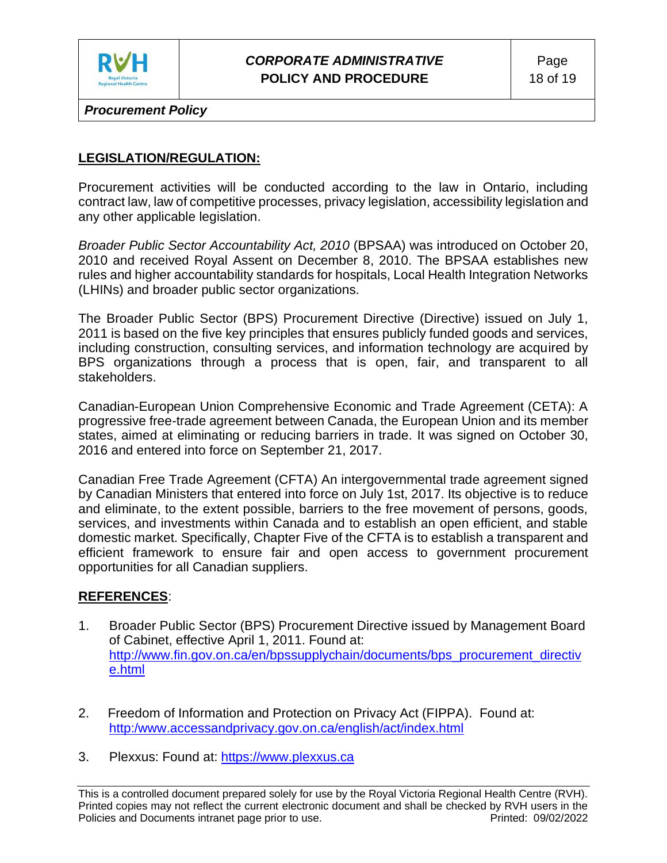

# *CORPORATE ADMINISTRATIVE* **POLICY AND PROCEDURE**

*Procurement Policy*

### **LEGISLATION/REGULATION:**

Procurement activities will be conducted according to the law in Ontario, including contract law, law of competitive processes, privacy legislation, accessibility legislation and any other applicable legislation.

*Broader Public Sector Accountability Act, 2010* (BPSAA) was introduced on October 20, 2010 and received Royal Assent on December 8, 2010. The BPSAA establishes new rules and higher accountability standards for hospitals, Local Health Integration Networks (LHINs) and broader public sector organizations.

The Broader Public Sector (BPS) Procurement Directive (Directive) issued on July 1, 2011 is based on the five key principles that ensures publicly funded goods and services, including construction, consulting services, and information technology are acquired by BPS organizations through a process that is open, fair, and transparent to all stakeholders.

Canadian-European Union Comprehensive Economic and Trade Agreement (CETA): A progressive free-trade agreement between Canada, the European Union and its member states, aimed at eliminating or reducing barriers in trade. It was signed on October 30, 2016 and entered into force on September 21, 2017.

Canadian Free Trade Agreement (CFTA) An intergovernmental trade agreement signed by Canadian Ministers that entered into force on July 1st, 2017. Its objective is to reduce and eliminate, to the extent possible, barriers to the free movement of persons, goods, services, and investments within Canada and to establish an open efficient, and stable domestic market. Specifically, Chapter Five of the CFTA is to establish a transparent and efficient framework to ensure fair and open access to government procurement opportunities for all Canadian suppliers.

### **REFERENCES**:

- 1. Broader Public Sector (BPS) Procurement Directive issued by Management Board of Cabinet, effective April 1, 2011. Found at: http://www.fin.gov.on.ca/en/bpssupplychain/documents/bps\_procurement\_directiv e.html
- 2. Freedom of Information and Protection on Privacy Act (FIPPA). Found at: [http:/www.accessandprivacy.gov.on.ca/english/act/index.html](http://www.accessandprivacy.gov.on.ca/english/act/index.html)
- 3. Plexxus: Found at: [https://www.plexxus.ca](https://www.plexxus.ca/)

This is a controlled document prepared solely for use by the Royal Victoria Regional Health Centre (RVH). Printed copies may not reflect the current electronic document and shall be checked by RVH users in the Policies and Documents intranet page prior to use. **Printed: 09/02/2022** Printed: 09/02/2022